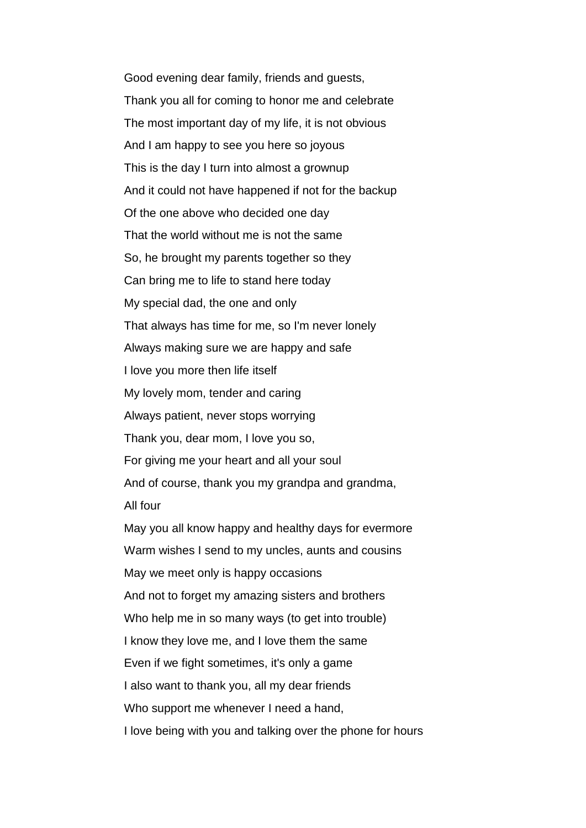Good evening dear family, friends and guests, Thank you all for coming to honor me and celebrate The most important day of my life, it is not obvious And I am happy to see you here so joyous This is the day I turn into almost a grownup And it could not have happened if not for the backup Of the one above who decided one day That the world without me is not the same So, he brought my parents together so they Can bring me to life to stand here today My special dad, the one and only That always has time for me, so I'm never lonely Always making sure we are happy and safe I love you more then life itself My lovely mom, tender and caring Always patient, never stops worrying Thank you, dear mom, I love you so, For giving me your heart and all your soul And of course, thank you my grandpa and grandma, All four May you all know happy and healthy days for evermore Warm wishes I send to my uncles, aunts and cousins May we meet only is happy occasions And not to forget my amazing sisters and brothers Who help me in so many ways (to get into trouble) I know they love me, and I love them the same Even if we fight sometimes, it's only a game I also want to thank you, all my dear friends Who support me whenever I need a hand, I love being with you and talking over the phone for hours